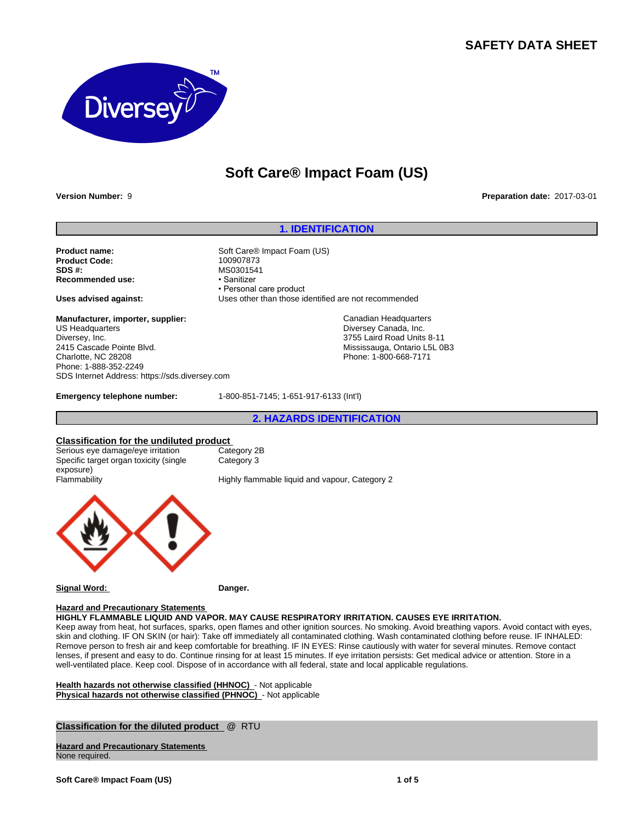## **SAFETY DATA SHEET**



# **Soft Care® Impact Foam (US)**

**Version Number:** 9 **Preparation date:** 2017-03-01

#### **1. IDENTIFICATION**

**Product name:** Soft Care<sup>®</sup> Impact Foam (US)<br> **Product Code:** 100907873 **Product Code: SDS #:** MS0301541<br> **Recommended use:** Magnus Magnus MS0301541 **Recommended use:** 

**Manufacturer, importer, supplier:** US Headquarters Diversey, Inc. 2415 Cascade Pointe Blvd. Charlotte, NC 28208 Phone: 1-888-352-2249 SDS Internet Address: https://sds.diversey.com

• Personal care product **Uses advised against:** Uses other than those identified are not recommended

> Canadian Headquarters Diversey Canada, Inc. 3755 Laird Road Units 8-11 Mississauga, Ontario L5L 0B3 Phone: 1-800-668-7171

**Emergency telephone number:** 1-800-851-7145; 1-651-917-6133 (Int'l)

**2. HAZARDS IDENTIFICATION**

#### **Classification for the undiluted product**

Serious eye damage/eye irritation Category 2B Specific target organ toxicity (single exposure)<br>Flammability Category 3

Highly flammable liquid and vapour, Category 2



**Signal Word: Danger.**

### **Hazard and Precautionary Statements**

**HIGHLY FLAMMABLE LIQUID AND VAPOR. MAY CAUSE RESPIRATORY IRRITATION. CAUSES EYE IRRITATION.**

Keep away from heat, hot surfaces, sparks, open flames and other ignition sources. No smoking. Avoid breathing vapors. Avoid contact with eyes, skin and clothing. IF ON SKIN (or hair): Take off immediately all contaminated clothing. Wash contaminated clothing before reuse. IF INHALED: Remove person to fresh air and keep comfortable for breathing. IF IN EYES: Rinse cautiously with water for several minutes. Remove contact lenses, if present and easy to do. Continue rinsing for at least 15 minutes. If eye irritation persists: Get medical advice or attention. Store in a well-ventilated place. Keep cool. Dispose of in accordance with all federal, state and local applicable regulations.

**Health hazards not otherwise classified (HHNOC)** - Not applicable **Physical hazards not otherwise classified (PHNOC)** - Not applicable

**Classification for the diluted product** @ RTU

**Hazard and Precautionary Statements**  None required.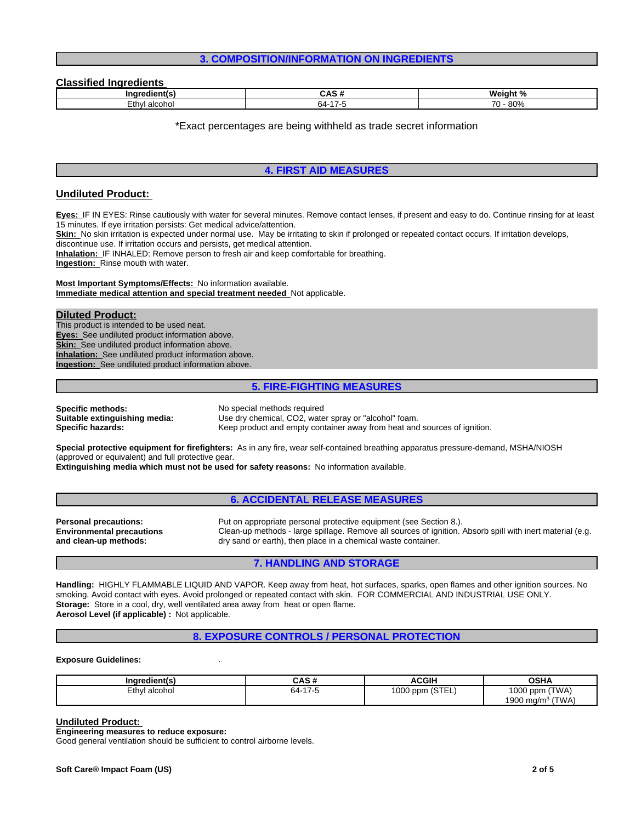#### **3. COMPOSITION/INFORMATION ON INGREDIENTS**

#### **Classified Ingredients**

| ------<br>.<br>ınc |               | 186<br>am<br>70          |
|--------------------|---------------|--------------------------|
| .+hı               | $\rightarrow$ | 0.00                     |
| alcohu.            | ີ້            | $\overline{\phantom{a}}$ |
|                    | O4-           | $\mathbf{O} \mathbf{U}$  |

\*Exact percentages are being withheld as trade secret information

#### **4. FIRST AID MEASURES**

### **Undiluted Product:**

**Eyes:** IF IN EYES: Rinse cautiously with water for several minutes. Remove contact lenses, if present and easy to do. Continue rinsing for at least 15 minutes. If eye irritation persists: Get medical advice/attention.

Skin: No skin irritation is expected under normal use. May be irritating to skin if prolonged or repeated contact occurs. If irritation develops,

discontinue use. If irritation occurs and persists, get medical attention.

**Inhalation:** IF INHALED: Remove person to fresh air and keep comfortable for breathing.

**Ingestion:** Rinse mouth with water.

**Most Important Symptoms/Effects:** No information available. **Immediate medical attention and special treatment needed** Not applicable.

#### **Diluted Product:**

This product is intended to be used neat. **Eyes:** See undiluted product information above. **Skin:** See undiluted product information above. **Inhalation:** See undiluted product information above. **Ingestion:** See undiluted product information above.

#### **5. FIRE-FIGHTING MEASURES**

**Specific methods:** No special methods required

**Suitable extinguishing media:** Use dry chemical, CO2, water spray or "alcohol" foam.<br>**Specific hazards:** Keep product and empty container away from heat and Keep product and empty container away from heat and sources of ignition.

**Special protective equipment for firefighters:** As in any fire, wear self-contained breathing apparatus pressure-demand, MSHA/NIOSH (approved or equivalent) and full protective gear.

**Extinguishing media which must not be used for safety reasons:** No information available.

#### **6. ACCIDENTAL RELEASE MEASURES**

**Personal precautions:** Put on appropriate personal protective equipment (see Section 8.). **Environmental precautions and clean-up methods:** Clean-up methods - large spillage. Remove all sources of ignition. Absorb spill with inert material (e.g. dry sand or earth), then place in a chemical waste container.

### **7. HANDLING AND STORAGE**

**Handling:** HIGHLY FLAMMABLE LIQUID AND VAPOR. Keep away from heat, hot surfaces, sparks, open flames and other ignition sources. No smoking. Avoid contact with eyes. Avoid prolonged or repeated contact with skin. FOR COMMERCIAL AND INDUSTRIAL USE ONLY. **Storage:** Store in a cool, dry, well ventilated area away from heat or open flame. **Aerosol Level (if applicable) :** Not applicable.

#### **8. EXPOSURE CONTROLS / PERSONAL PROTECTION**

#### **Exposure Guidelines:** .

| <br>Inaredient(s) | ៱៰៷<br>ບຕວ ກ | ACGIH           | <b>OSHA</b>            |
|-------------------|--------------|-----------------|------------------------|
| Ethyl alcohol     | 64-<br>כ- זו | 1000 ppm (STEL) | (TWA)<br>1000 ppm      |
|                   |              |                 | (TWA)<br>1900 mg/m $3$ |

#### **Undiluted Product:**

**Engineering measures to reduce exposure:**

Good general ventilation should be sufficient to control airborne levels.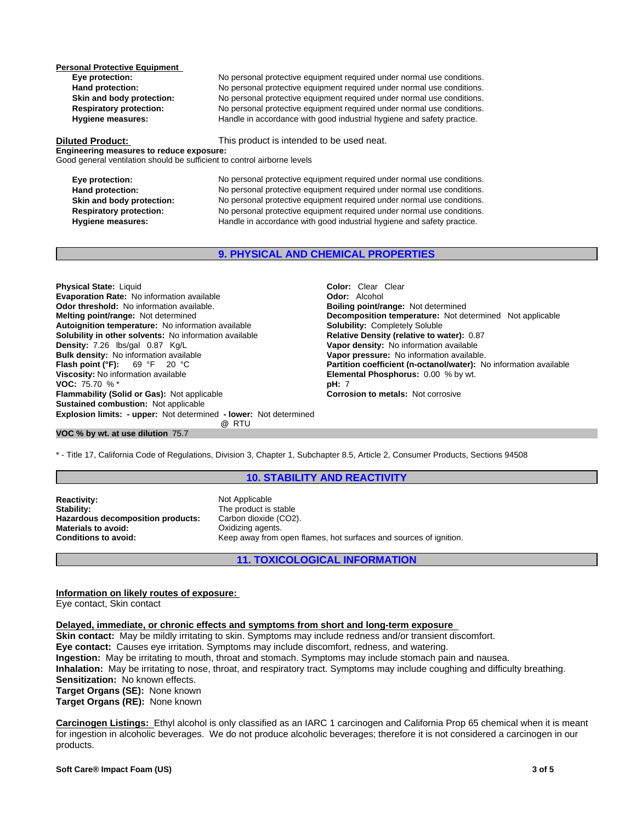**Personal Protective Equipment** 

**Eye protection:** No personal protective equipment required under normal use conditions. **Hand protection:** No personal protective equipment required under normal use conditions. **Skin and body protection:** No personal protective equipment required under normal use conditions.<br> **Respiratory protection:** No personal protective equipment required under normal use conditions. **Respiratory protection:** No personal protective equipment required under normal use conditions.<br> **Handle in accordance with good industrial hygiene and safety practice.** Handle in accordance with good industrial hygiene and safety practice.

**Diluted Product:** This product is intended to be used neat.

**Engineering measures to reduce exposure:** Good general ventilation should be sufficient to control airborne levels

**Eye protection:** No personal protective equipment required under normal use conditions. **Hand protection:** No personal protective equipment required under normal use conditions. **Skin and body protection:** No personal protective equipment required under normal use conditions. **Respiratory protection:** No personal protective equipment required under normal use conditions. **Hygiene measures:** Handle in accordance with good industrial hygiene and safety practice.

### **9. PHYSICAL AND CHEMICAL PROPERTIES**

**Explosion limits: - upper:** Not determined **- lower:** Not determined **@** RTU **Physical State:** Liquid **Color:** *Clear* Clear Clear Clear Clear Clear Clear Clear Clear Clear Clear Clear Clear Clear Clear Clear Clear Clear Clear Clear Clear Clear Clear Clear Clear Clear Clear Clear Clear Clear Clear **Evaporation Rate:** No information available **Odor threshold:** No information available. **Boiling point/range: Not determined Melting point/range:** Not determined **Melting point/range:** Not determined **Autoignition temperature:** No information available **Solubility:** Completely Soluble **Solubility in other solvents: No information available Density:** 7.26 lbs/gal 0.87 Kg/L **Vapor density:** No information available **Bulk density:** No information available **Bulk density:** No information available **Bulk density:** No information available **Vapor pressure:** No information available.<br> **Flash point (°F):** 69 °F 20 °C **C C Partition coefficient (n-octanol/water):** N **Viscosity:** No information available **Elemental Phosphorus:** 0.00 % by wt. **VOC:** 75.70 % \* **pH:** 7 **Flammability (Solid or Gas):** Not applicable **Corrosion to metals:** Not corrosive **Sustained combustion:** Not applicable

**Decomposition temperature:** Not determined Not applicable **Partition coefficient (n-octanol/water):** No information available

#### **VOC % by wt. at use dilution** 75.7

\* - Title 17, California Code of Regulations, Division 3, Chapter 1, Subchapter 8.5, Article 2, Consumer Products, Sections 94508

#### **10. STABILITY AND REACTIVITY**

**Reactivity:** Not Applicable<br> **Stability:** The product is **Hazardous decomposition products:**<br>Materials to avoid: **Materials to avoid: Call Conditions to avoid:** Conditions to avoid: Conditions to avoid: Conditions Conditions Conditions Conditions Conditions Conditions Conditions Conditions Conditions Conditions Conditions Condition

The product is stable<br>Carbon dioxide (CO2). Keep away from open flames, hot surfaces and sources of ignition.

### **11. TOXICOLOGICAL INFORMATION**

### **Information on likely routes of exposure:**

Eye contact, Skin contact

#### **Delayed, immediate, or chronic effects and symptoms from short and long-term exposure**

**Skin contact:** May be mildly irritating to skin. Symptoms may include redness and/or transient discomfort.

**Eye contact:** Causes eye irritation. Symptoms may include discomfort, redness, and watering.

**Ingestion:** May be irritating to mouth, throat and stomach. Symptoms may include stomach pain and nausea.

**Inhalation:** May be irritating to nose, throat, and respiratory tract. Symptoms may include coughing and difficulty breathing. **Sensitization:** No known effects.

**Target Organs (SE):** None known

**Target Organs (RE):** None known

**Carcinogen Listings:** Ethyl alcohol is only classified as an IARC 1 carcinogen and California Prop 65 chemical when it is meant for ingestion in alcoholic beverages. We do not produce alcoholic beverages; therefore it is not considered a carcinogen in our products.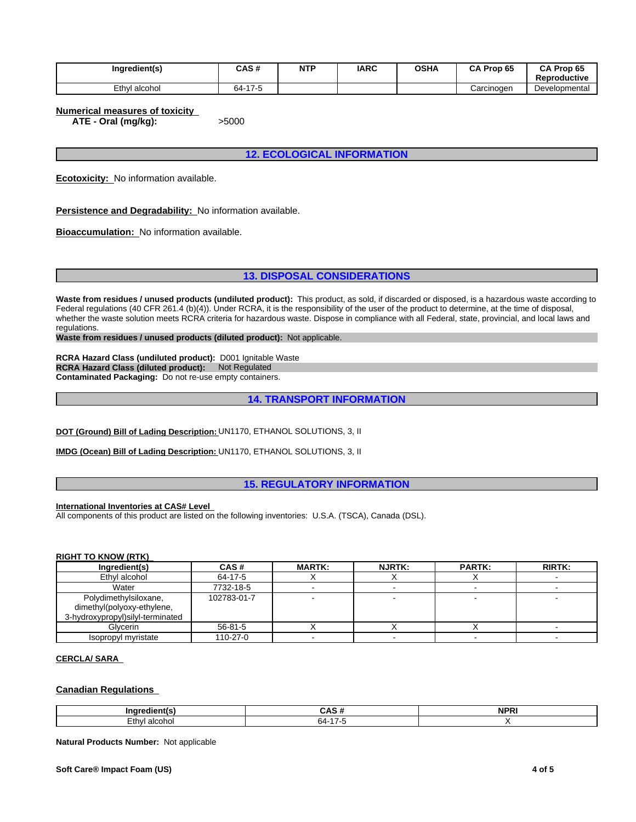| Ingredient(s) | CAS#                                   | <b>NTP</b> | <b>IARC</b> | <b>OSHA</b> | Prop 65<br>CA. | CA Prop 65<br><b>Reproductive</b> |
|---------------|----------------------------------------|------------|-------------|-------------|----------------|-----------------------------------|
| Ethyl alcohol | 17.5<br>$\sim$ $\sim$<br>64-<br>$\sim$ |            |             |             | Carcinogen     | Developmental                     |

**Numerical measures of toxicity**

**ATE - Oral (mg/kg):** >5000

**12. ECOLOGICAL INFORMATION**

**Ecotoxicity:** No information available.

**Persistence and Degradability:** No information available.

**Bioaccumulation:** No information available.

**13. DISPOSAL CONSIDERATIONS**

Waste from residues / unused products (undiluted product): This product, as sold, if discarded or disposed, is a hazardous waste according to Federal regulations (40 CFR 261.4 (b)(4)). Under RCRA, it is the responsibility of the user of the product to determine, at the time of disposal, whether the waste solution meets RCRA criteria for hazardous waste. Dispose in compliance with all Federal, state, provincial, and local laws and regulations.

**Waste from residues / unused products (diluted product):** Not applicable.

**RCRA Hazard Class (undiluted product):** D001 Ignitable Waste **RCRA Hazard Class (diluted product):** Not Regulated **Contaminated Packaging:** Do not re-use empty containers.

**14. TRANSPORT INFORMATION**

**DOT (Ground) Bill of Lading Description:** UN1170, ETHANOL SOLUTIONS, 3, II

**IMDG (Ocean) Bill of Lading Description:** UN1170, ETHANOL SOLUTIONS, 3, II

**15. REGULATORY INFORMATION**

**International Inventories at CAS# Level** 

All components of this product are listed on the following inventories: U.S.A. (TSCA), Canada (DSL).

#### **RIGHT TO KNOW (RTK)**

| Ingredient(s)                                                                            | CAS#          | <b>MARTK:</b> | <b>NJRTK:</b> | <b>PARTK:</b> | <b>RIRTK:</b> |
|------------------------------------------------------------------------------------------|---------------|---------------|---------------|---------------|---------------|
| Ethyl alcohol                                                                            | 64-17-5       |               |               |               |               |
| Water                                                                                    | 7732-18-5     |               |               |               |               |
| Polydimethylsiloxane,<br>dimethyl(polyoxy-ethylene,<br>3-hydroxypropyl) silyl-terminated | 102783-01-7   |               |               |               |               |
| Glvcerin                                                                                 | $56 - 81 - 5$ |               |               |               |               |
| Isopropyl myristate                                                                      | $110-27-0$    |               |               |               |               |

### **CERCLA/ SARA**

#### **Canadian Regulations**

| Incr               | <b>CAC</b><br> | <b>NPP</b><br>N |
|--------------------|----------------|-----------------|
| ∟thy'<br>' alcoho. | ∼.<br>b4-      |                 |

**Natural Products Number:** Not applicable